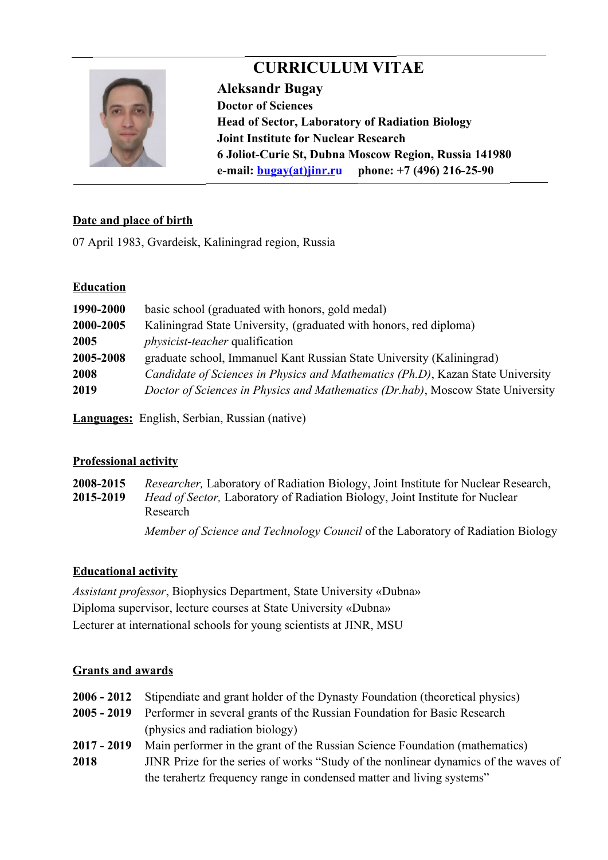

# **CURRICULUM VITAE**

**Aleksandr Bugay Doctor of Sciences Head of Sector, Laboratory of Radiation Biology Joint Institute for Nuclear Research 6 Joliot-Curie St, Dubna Moscow Region, Russia 141980 e-mail: [bugay](mailto:bugay@jinr.ru)(at)jinr.ru phone: +7 (496) 216-25-90**

# **Date and place of birth**

07 April 1983, Gvardeisk, Kaliningrad region, Russia

## **Education**

| 1990-2000 | basic school (graduated with honors, gold medal)                                       |
|-----------|----------------------------------------------------------------------------------------|
| 2000-2005 | Kaliningrad State University, (graduated with honors, red diploma)                     |
| 2005      | <i>physicist-teacher</i> qualification                                                 |
| 2005-2008 | graduate school, Immanuel Kant Russian State University (Kaliningrad)                  |
| 2008      | <i>Candidate of Sciences in Physics and Mathematics (Ph.D), Kazan State University</i> |
| 2019      | Doctor of Sciences in Physics and Mathematics (Dr.hab), Moscow State University        |
|           |                                                                                        |

**Languages:** English, Serbian, Russian (native)

# **Professional activity**

**2008-2015** *Researcher,* Laboratory of Radiation Biology, Joint Institute for Nuclear Research, **2015-2019** *Head of Sector,* Laboratory of Radiation Biology, Joint Institute for Nuclear Research *Member of Science and Technology Council* of the Laboratory of Radiation Biology

# **Educational activity**

*Assistant professor*, Biophysics Department, State University «Dubna» Diploma supervisor, lecture courses at State University «Dubna» Lecturer at international schools for young scientists at JINR, MSU

### **Grants and awards**

|               | 2006 - 2012 Stipendiate and grant holder of the Dynasty Foundation (theoretical physics) |
|---------------|------------------------------------------------------------------------------------------|
|               | 2005 - 2019 Performer in several grants of the Russian Foundation for Basic Research     |
|               | (physics and radiation biology)                                                          |
| $2017 - 2019$ | Main performer in the grant of the Russian Science Foundation (mathematics)              |
| 2018          | JINR Prize for the series of works "Study of the nonlinear dynamics of the waves of      |
|               | the terahertz frequency range in condensed matter and living systems"                    |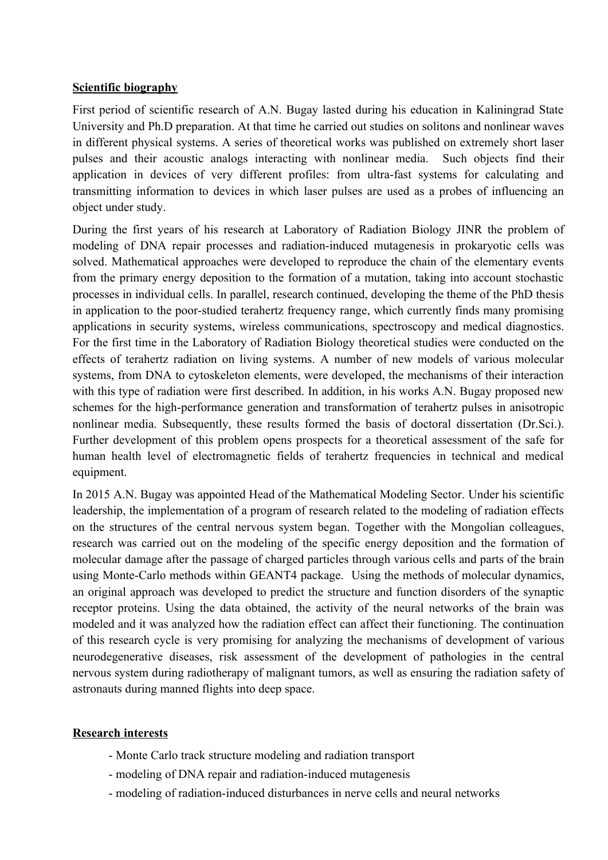## **Scientific biography**

First period of scientific research of A.N. Bugay lasted during his education in Kaliningrad State University and Ph.D preparation. At that time he carried out studies on solitons and nonlinear waves in different physical systems. A series of theoretical works was published on extremely short laser pulses and their acoustic analogs interacting with nonlinear media. Such objects find their application in devices of very different profiles: from ultra-fast systems for calculating and transmitting information to devices in which laser pulses are used as a probes of influencing an object under study.

During the first years of his research at Laboratory of Radiation Biology JINR the problem of modeling of DNA repair processes and radiation-induced mutagenesis in prokaryotic cells was solved. Mathematical approaches were developed to reproduce the chain of the elementary events from the primary energy deposition to the formation of a mutation, taking into account stochastic processes in individual cells. In parallel, research continued, developing the theme of the PhD thesis in application to the poor-studied terahertz frequency range, which currently finds many promising applications in security systems, wireless communications, spectroscopy and medical diagnostics. For the first time in the Laboratory of Radiation Biology theoretical studies were conducted on the effects of terahertz radiation on living systems. A number of new models of various molecular systems, from DNA to cytoskeleton elements, were developed, the mechanisms of their interaction with this type of radiation were first described. In addition, in his works A.N. Bugay proposed new schemes for the high-performance generation and transformation of terahertz pulses in anisotropic nonlinear media. Subsequently, these results formed the basis of doctoral dissertation (Dr.Sci.). Further development of this problem opens prospects for a theoretical assessment of the safe for human health level of electromagnetic fields of terahertz frequencies in technical and medical equipment.

In 2015 A.N. Bugay was appointed Head of the Mathematical Modeling Sector. Under his scientific leadership, the implementation of a program of research related to the modeling of radiation effects on the structures of the central nervous system began. Together with the Mongolian colleagues, research was carried out on the modeling of the specific energy deposition and the formation of molecular damage after the passage of charged particles through various cells and parts of the brain using Monte-Carlo methods within GEANT4 package. Using the methods of molecular dynamics, an original approach was developed to predict the structure and function disorders of the synaptic receptor proteins. Using the data obtained, the activity of the neural networks of the brain was modeled and it was analyzed how the radiation effect can affect their functioning. The continuation of this research cycle is very promising for analyzing the mechanisms of development of various neurodegenerative diseases, risk assessment of the development of pathologies in the central nervous system during radiotherapy of malignant tumors, as well as ensuring the radiation safety of astronauts during manned flights into deep space.

### **Research interests**

- Monte Carlo track structure modeling and radiation transport
- modeling of DNA repair and radiation-induced mutagenesis
- modeling of radiation-induced disturbances in nerve cells and neural networks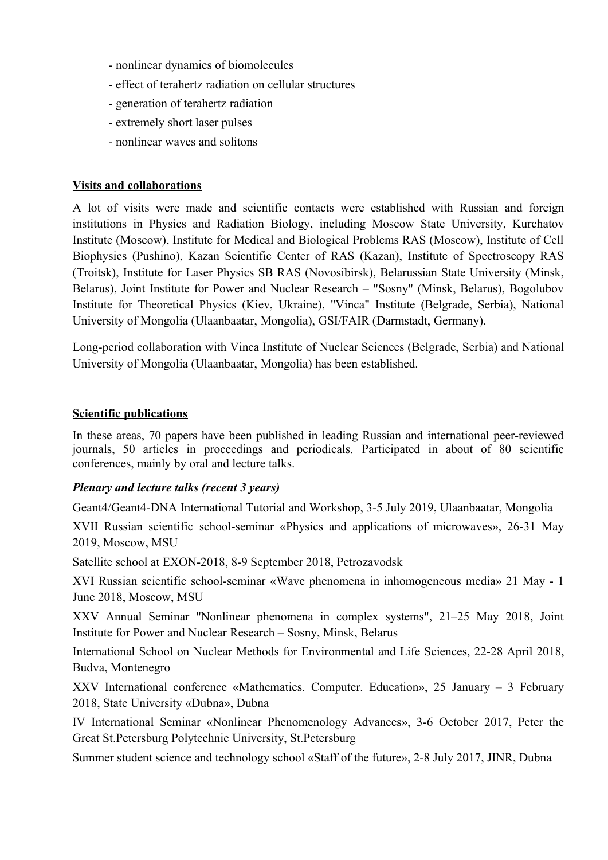- nonlinear dynamics of biomolecules
- effect of terahertz radiation on cellular structures
- generation of terahertz radiation
- extremely short laser pulses
- nonlinear waves and solitons

### **Visits and collaborations**

A lot of visits were made and scientific contacts were established with Russian and foreign institutions in Physics and Radiation Biology, including Moscow State University, Kurchatov Institute (Moscow), Institute for Medical and Biological Problems RAS (Moscow), Institute of Cell Biophysics (Pushino), Kazan Scientific Center of RAS (Kazan), Institute of Spectroscopy RAS (Troitsk), Institute for Laser Physics SB RAS (Novosibirsk), Belarussian State University (Minsk, Belarus), Joint Institute for Power and Nuclear Research – "Sosny" (Minsk, Belarus), Bogolubov Institute for Theoretical Physics (Kiev, Ukraine), "Vinca" Institute (Belgrade, Serbia), National University of Mongolia (Ulaanbaatar, Mongolia), GSI/FAIR (Darmstadt, Germany).

Long-period collaboration with Vinca Institute of Nuclear Sciences (Belgrade, Serbia) and National University of Mongolia (Ulaanbaatar, Mongolia) has been established.

#### **Scientific publications**

In these areas, 70 papers have been published in leading Russian and international peer-reviewed journals, 50 articles in proceedings and periodicals. Participated in about of 80 scientific conferences, mainly by oral and lecture talks.

### *Plenary and lecture talks (recent 3 years)*

Geant4/Geant4-DNA International Tutorial and Workshop, 3-5 July 2019, Ulaanbaatar, Mongolia

XVII Russian scientific school-seminar «Physics and applications of microwaves», 26-31 May 2019, Moscow, MSU

Satellite school at EXON-2018, 8-9 September 2018, Petrozavodsk

XVI Russian scientific school-seminar «Wave phenomena in inhomogeneous media» 21 May - 1 June 2018, Moscow, MSU

XXV Annual Seminar "Nonlinear phenomena in complex systems", 21–25 May 2018, Joint Institute for Power and Nuclear Research – Sosny, Minsk, Belarus

International School on Nuclear Methods for Environmental and Life Sciences, 22-28 April 2018, Budva, Montenegro

XXV International conference «Mathematics. Computer. Education», 25 January – 3 February 2018, State University «Dubna», Dubna

IV International Seminar «Nonlinear Phenomenology Advances», 3-6 October 2017, Peter the Great St.Petersburg Polytechnic University, St.Petersburg

Summer student science and technology school «Staff of the future», 2-8 July 2017, JINR, Dubna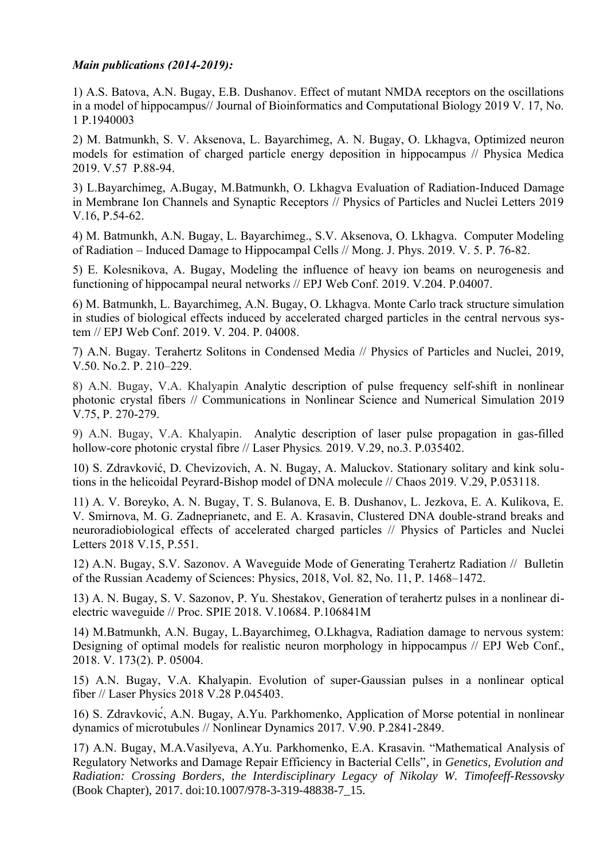#### *Main publications (2014-2019):*

1) A.S. Batova, A.N. Bugay, E.B. Dushanov. Effect of mutant NMDA receptors on the oscillations in a model of hippocampus// Journal of Bioinformatics and Computational Biology 2019 V. 17, No. 1 P.1940003

2) M. Batmunkh, S. V. Aksenova, L. Bayarchimeg, A. N. Bugay, O. Lkhagva, Optimized neuron models for estimation of charged particle energy deposition in hippocampus // Physica Medica 2019. V.57 P.88-94.

3) L.Bayarchimeg, A.Bugay, M.Batmunkh, O. Lkhagva Evaluation of Radiation-Induced Damage in Membrane Ion Channels and Synaptic Receptors // Physics of Particles and Nuclei Letters 2019 V.16, P.54-62.

4) M. Batmunkh, A.N. Bugay, L. Bayarchimeg., S.V. Aksenova, O. Lkhagva. Computer Modeling of Radiation – Induced Damage to Hippocampal Cells // Mong. J. Phys. 2019. V. 5. P. 76-82.

5) E. Kolesnikova, A. Bugay, Modeling the influence of heavy ion beams on neurogenesis and functioning of hippocampal neural networks // EPJ Web Conf. 2019. V.204. P.04007.

6) M. Batmunkh, L. Bayarchimeg, A.N. Bugay, O. Lkhagva. Monte Carlo track structure simulation in studies of biological effects induced by accelerated charged particles in the central nervous system // EPJ Web Conf. 2019. V. 204. P. 04008.

7) A.N. Bugay. Terahertz Solitons in Condensed Media // Physics of Particles and Nuclei, 2019, V.50. No.2. P. 210–229.

8) A.N. Bugay, V.A. Khalyapin Analytic description of pulse frequency self-shift in nonlinear photonic crystal fibers // Communications in Nonlinear Science and Numerical Simulation 2019 V.75, P. 270-279.

9) A.N. Bugay, V.A. Khalyapin. Analytic description of laser pulse propagation in gas-filled hollow-core photonic crystal fibre // Laser Physics*.* 2019. V.29, no.3. P.035402.

10) S. Zdravković, D. Chevizovich, A. N. Bugay, A. Maluckov. Stationary solitary and kink solutions in the helicoidal Peyrard-Bishop model of DNA molecule // Chaos 2019. V.29, P.053118.

11) A. V. Boreyko, A. N. Bugay, T. S. Bulanova, E. B. Dushanov, L. Jezkova, E. A. Kulikova, E. V. Smirnova, M. G. Zadneprianetc, and E. A. Krasavin, Clustered DNA double-strand breaks and neuroradiobiological effects of accelerated charged particles // Physics of Particles and Nuclei Letters 2018 V.15, P.551.

12) A.N. Bugay, S.V. Sazonov. A Waveguide Mode of Generating Terahertz Radiation // Bulletin of the Russian Academy of Sciences: Physics, 2018, Vol. 82, No. 11, P. 1468–1472.

13) A. N. Bugay, S. V. Sazonov, P. Yu. Shestakov, Generation of terahertz pulses in a nonlinear dielectric waveguide // Proc. SPIE 2018. V.10684. P.106841M

14) M.Batmunkh, A.N. Bugay, L.Bayarchimeg, O.Lkhagva, Radiation damage to nervous system: Designing of optimal models for realistic neuron morphology in hippocampus // EPJ Web Conf., 2018. V. 173(2). P. 05004.

15) A.N. Bugay, V.A. Khalyapin. Evolution of super-Gaussian pulses in a nonlinear optical fiber // Laser Physics 2018 V.28 P.045403.

16) S. Zdravković, A.N. Bugay, A.Yu. Parkhomenko, Application of Morse potential in nonlinear dynamics of microtubules // Nonlinear Dynamics 2017. V.90. P.2841-2849.

17) A.N. Bugay, M.A.Vasilyeva, A.Yu. Parkhomenko, E.A. Krasavin. "Mathematical Analysis of Regulatory Networks and Damage Repair Efficiency in Bacterial Cells", in *Genetics, Evolution and Radiation: Crossing Borders, the Interdisciplinary Legacy of Nikolay W. Timofeeff-Ressovsky* (Book Chapter), 2017. doi:10.1007/978-3-319-48838-7\_15.